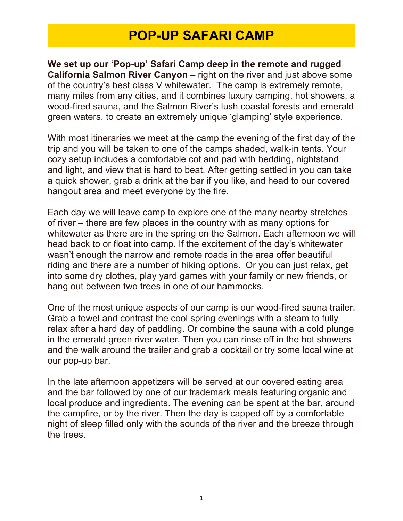## **POP-UP SAFARI CAMP**

**We set up our 'Pop-up' Safari Camp deep in the remote and rugged California Salmon River Canyon** – right on the river and just above some of the country's best class V whitewater. The camp is extremely remote, many miles from any cities, and it combines luxury camping, hot showers, a wood-fired sauna, and the Salmon River's lush coastal forests and emerald green waters, to create an extremely unique 'glamping' style experience.

With most itineraries we meet at the camp the evening of the first day of the trip and you will be taken to one of the camps shaded, walk-in tents. Your cozy setup includes a comfortable cot and pad with bedding, nightstand and light, and view that is hard to beat. After getting settled in you can take a quick shower, grab a drink at the bar if you like, and head to our covered hangout area and meet everyone by the fire.

Each day we will leave camp to explore one of the many nearby stretches of river – there are few places in the country with as many options for whitewater as there are in the spring on the Salmon. Each afternoon we will head back to or float into camp. If the excitement of the day's whitewater wasn't enough the narrow and remote roads in the area offer beautiful riding and there are a number of hiking options. Or you can just relax, get into some dry clothes, play yard games with your family or new friends, or hang out between two trees in one of our hammocks.

One of the most unique aspects of our camp is our wood-fired sauna trailer. Grab a towel and contrast the cool spring evenings with a steam to fully relax after a hard day of paddling. Or combine the sauna with a cold plunge in the emerald green river water. Then you can rinse off in the hot showers and the walk around the trailer and grab a cocktail or try some local wine at our pop-up bar.

In the late afternoon appetizers will be served at our covered eating area and the bar followed by one of our trademark meals featuring organic and local produce and ingredients. The evening can be spent at the bar, around the campfire, or by the river. Then the day is capped off by a comfortable night of sleep filled only with the sounds of the river and the breeze through the trees.